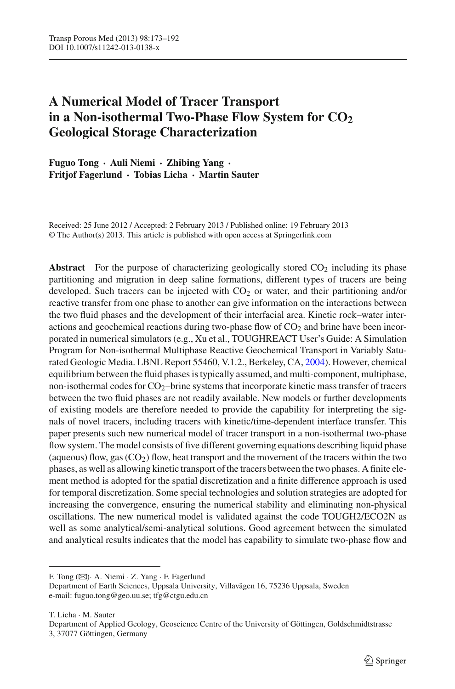# **A Numerical Model of Tracer Transport** in a Non-isothermal Two-Phase Flow System for CO<sub>2</sub> **Geological Storage Characterization**

**Fuguo Tong · Auli Niemi · Zhibing Yang · Fritjof Fagerlund · Tobias Licha · Martin Sauter**

Received: 25 June 2012 / Accepted: 2 February 2013 / Published online: 19 February 2013 © The Author(s) 2013. This article is published with open access at Springerlink.com

**Abstract** For the purpose of characterizing geologically stored  $CO<sub>2</sub>$  including its phase partitioning and migration in deep saline formations, different types of tracers are being developed. Such tracers can be injected with  $CO<sub>2</sub>$  or water, and their partitioning and/or reactive transfer from one phase to another can give information on the interactions between the two fluid phases and the development of their interfacial area. Kinetic rock–water interactions and geochemical reactions during two-phase flow of  $CO<sub>2</sub>$  and brine have been incorporated in numerical simulators (e.g., Xu et al., TOUGHREACT User's Guide: A Simulation Program for Non-isothermal Multiphase Reactive Geochemical Transport in Variably Saturated Geologic Media. LBNL Report 55460, V.1.2., Berkeley, CA, [2004\)](#page-18-0). However, chemical equilibrium between the fluid phases is typically assumed, and multi-component, multiphase, non-isothermal codes for  $CO_2$ -brine systems that incorporate kinetic mass transfer of tracers between the two fluid phases are not readily available. New models or further developments of existing models are therefore needed to provide the capability for interpreting the signals of novel tracers, including tracers with kinetic/time-dependent interface transfer. This paper presents such new numerical model of tracer transport in a non-isothermal two-phase flow system. The model consists of five different governing equations describing liquid phase (aqueous) flow, gas  $(CO<sub>2</sub>)$  flow, heat transport and the movement of the tracers within the two phases, as well as allowing kinetic transport of the tracers between the two phases. A finite element method is adopted for the spatial discretization and a finite difference approach is used for temporal discretization. Some special technologies and solution strategies are adopted for increasing the convergence, ensuring the numerical stability and eliminating non-physical oscillations. The new numerical model is validated against the code TOUGH2/ECO2N as well as some analytical/semi-analytical solutions. Good agreement between the simulated and analytical results indicates that the model has capability to simulate two-phase flow and

F. Tong (B)· A. Niemi · Z. Yang · F. Fagerlund

Department of Earth Sciences, Uppsala University, Villavägen 16, 75236 Uppsala, Sweden e-mail: fuguo.tong@geo.uu.se; tfg@ctgu.edu.cn

T. Licha · M. Sauter

Department of Applied Geology, Geoscience Centre of the University of Göttingen, Goldschmidtstrasse 3, 37077 Göttingen, Germany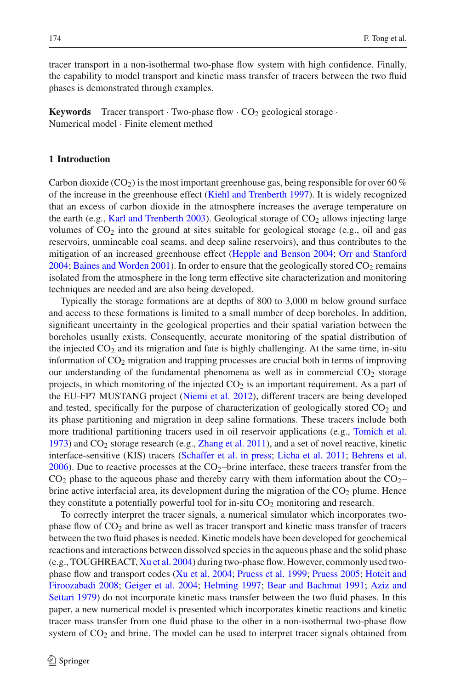tracer transport in a non-isothermal two-phase flow system with high confidence. Finally, the capability to model transport and kinetic mass transfer of tracers between the two fluid phases is demonstrated through examples.

**Keywords** Tracer transport  $\cdot$  Two-phase flow  $\cdot$  CO<sub>2</sub> geological storage  $\cdot$ Numerical model · Finite element method

# **1 Introduction**

Carbon dioxide (CO<sub>2</sub>) is the most important greenhouse gas, being responsible for over 60 % of the increase in the greenhouse effect [\(Kiehl and Trenberth 1997\)](#page-18-1). It is widely recognized that an excess of carbon dioxide in the atmosphere increases the average temperature on the earth (e.g., [Karl and Trenberth 2003\)](#page-17-0). Geological storage of  $CO<sub>2</sub>$  allows injecting large volumes of  $CO<sub>2</sub>$  into the ground at sites suitable for geological storage (e.g., oil and gas reservoirs, unmineable coal seams, and deep saline reservoirs), and thus contributes to the mitigation of an increased greenhouse effect [\(Hepple and Benson 2004;](#page-17-1) [Orr and Stanford](#page-18-2) [2004](#page-18-2); [Baines and Worden 2001\)](#page-17-2). In order to ensure that the geologically stored  $CO<sub>2</sub>$  remains isolated from the atmosphere in the long term effective site characterization and monitoring techniques are needed and are also being developed.

Typically the storage formations are at depths of 800 to 3,000 m below ground surface and access to these formations is limited to a small number of deep boreholes. In addition, significant uncertainty in the geological properties and their spatial variation between the boreholes usually exists. Consequently, accurate monitoring of the spatial distribution of the injected  $CO<sub>2</sub>$  and its migration and fate is highly challenging. At the same time, in-situ information of  $CO<sub>2</sub>$  migration and trapping processes are crucial both in terms of improving our understanding of the fundamental phenomena as well as in commercial  $CO<sub>2</sub>$  storage projects, in which monitoring of the injected  $CO<sub>2</sub>$  is an important requirement. As a part of the EU-FP7 MUSTANG project [\(Niemi et al. 2012](#page-18-3)), different tracers are being developed and tested, specifically for the purpose of characterization of geologically stored  $CO<sub>2</sub>$  and its phase partitioning and migration in deep saline formations. These tracers include both more traditional partitioning tracers used in oil reservoir applications (e.g., [Tomich et al.](#page-18-4) [1973](#page-18-4)) and  $CO<sub>2</sub>$  storage research (e.g., [Zhang et al. 2011](#page-19-0)), and a set of novel reactive, kinetic interface-sensitive (KIS) tracers [\(Schaffer et al. in press](#page-18-5); [Licha et al. 2011](#page-18-6); [Behrens et al.](#page-17-3)  $2006$ ). Due to reactive processes at the CO<sub>2</sub>-brine interface, these tracers transfer from the  $CO<sub>2</sub>$  phase to the aqueous phase and thereby carry with them information about the  $CO<sub>2</sub>$ brine active interfacial area, its development during the migration of the  $CO<sub>2</sub>$  plume. Hence they constitute a potentially powerful tool for in-situ  $CO<sub>2</sub>$  monitoring and research.

To correctly interpret the tracer signals, a numerical simulator which incorporates twophase flow of CO<sub>2</sub> and brine as well as tracer transport and kinetic mass transfer of tracers between the two fluid phases is needed. Kinetic models have been developed for geochemical reactions and interactions between dissolved species in the aqueous phase and the solid phase (e.g., TOUGHREACT, [Xu et al. 2004\)](#page-18-0) during two-phase flow. However, commonly used twophase flow [and](#page-17-4) [transport](#page-17-4) [codes](#page-17-4) [\(Xu et al. 2004](#page-18-0)[;](#page-17-4) [Pruess et al. 1999;](#page-18-7) [Pruess 2005;](#page-18-8) Hoteit and Firoozabadi [2008;](#page-17-4) [Geiger et al. 2004](#page-17-5); [Helming 1997](#page-17-6); [Bear and Bachmat 1991](#page-17-7)[;](#page-17-8) Aziz and Settari [1979](#page-17-8)) do not incorporate kinetic mass transfer between the two fluid phases. In this paper, a new numerical model is presented which incorporates kinetic reactions and kinetic tracer mass transfer from one fluid phase to the other in a non-isothermal two-phase flow system of  $CO<sub>2</sub>$  and brine. The model can be used to interpret tracer signals obtained from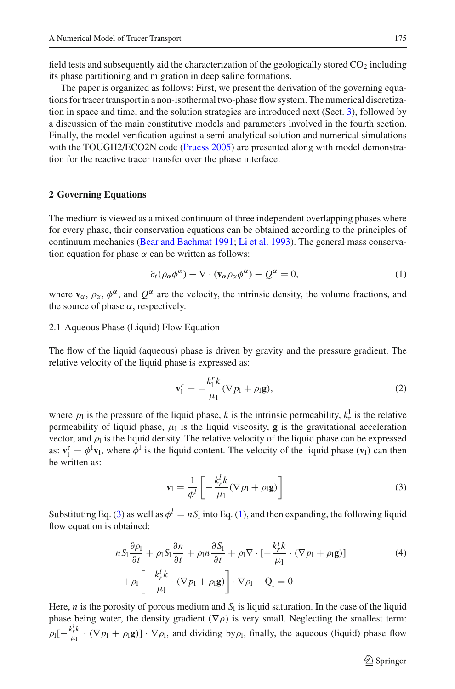field tests and subsequently aid the characterization of the geologically stored  $CO<sub>2</sub>$  including its phase partitioning and migration in deep saline formations.

The paper is organized as follows: First, we present the derivation of the governing equations for tracer transport in a non-isothermal two-phase flow system. The numerical discretization in space and time, and the solution strategies are introduced next (Sect. [3\)](#page-5-0), followed by a discussion of the main constitutive models and parameters involved in the fourth section. Finally, the model verification against a semi-analytical solution and numerical simulations with the TOUGH2/ECO2N code [\(Pruess 2005](#page-18-8)) are presented along with model demonstration for the reactive tracer transfer over the phase interface.

# **2 Governing Equations**

The medium is viewed as a mixed continuum of three independent overlapping phases where for every phase, their conservation equations can be obtained according to the principles of continuum mechanics [\(Bear and Bachmat 1991;](#page-17-7) [Li et al. 1993\)](#page-18-9). The general mass conservation equation for phase  $\alpha$  can be written as follows:

$$
\partial_t (\rho_\alpha \phi^\alpha) + \nabla \cdot (\mathbf{v}_\alpha \rho_\alpha \phi^\alpha) - Q^\alpha = 0, \tag{1}
$$

<span id="page-2-1"></span>where  $\mathbf{v}_{\alpha}$ ,  $\rho_{\alpha}$ ,  $\phi^{\alpha}$ , and  $Q^{\alpha}$  are the velocity, the intrinsic density, the volume fractions, and the source of phase  $\alpha$ , respectively.

# 2.1 Aqueous Phase (Liquid) Flow Equation

The flow of the liquid (aqueous) phase is driven by gravity and the pressure gradient. The relative velocity of the liquid phase is expressed as:

$$
\mathbf{v}_1^r = -\frac{k_1^r k}{\mu_1} (\nabla p_1 + \rho_1 \mathbf{g}),\tag{2}
$$

where  $p_1$  is the pressure of the liquid phase, *k* is the intrinsic permeability,  $k_{\rm r}^{\rm l}$  is the relative permeability of liquid phase,  $\mu_1$  is the liquid viscosity, **g** is the gravitational acceleration vector, and  $\rho_l$  is the liquid density. The relative velocity of the liquid phase can be expressed as:  $\mathbf{v}_1^{\text{r}} = \phi^1 \mathbf{v}_1$ , where  $\phi^1$  is the liquid content. The velocity of the liquid phase ( $\mathbf{v}_1$ ) can then be written as:

$$
\mathbf{v}_{\mathbf{l}} = \frac{1}{\phi^l} \left[ -\frac{k_r^l k}{\mu_{\mathbf{l}}} (\nabla p_{\mathbf{l}} + \rho_{\mathbf{l}} \mathbf{g}) \right]
$$
 (3)

<span id="page-2-0"></span>Substituting Eq. [\(3\)](#page-2-0) as well as  $\phi^l = nS_l$  into Eq. [\(1\)](#page-2-1), and then expanding, the following liquid flow equation is obtained:

$$
nS_1 \frac{\partial \rho_1}{\partial t} + \rho_1 S_1 \frac{\partial n}{\partial t} + \rho_1 n \frac{\partial S_1}{\partial t} + \rho_1 \nabla \cdot \left[ -\frac{k_r^l k}{\mu_1} \cdot (\nabla p_1 + \rho_1 \mathbf{g}) \right]
$$
  
+ 
$$
\rho_1 \left[ -\frac{k_r^l k}{\mu_1} \cdot (\nabla p_1 + \rho_1 \mathbf{g}) \right] \cdot \nabla \rho_1 - \mathbf{Q}_1 = 0
$$
 (4)

Here,  $n$  is the porosity of porous medium and  $S<sub>l</sub>$  is liquid saturation. In the case of the liquid phase being water, the density gradient ( $\nabla \rho$ ) is very small. Neglecting the smallest term:  $\rho_1[-\frac{k_r^l k}{\mu_1}\cdot(\nabla p_1+\rho_1\mathbf{g})]\cdot\nabla\rho_1$ , and dividing by  $\rho_1$ , finally, the aqueous (liquid) phase flow

 $\hat{\mathfrak{D}}$  Springer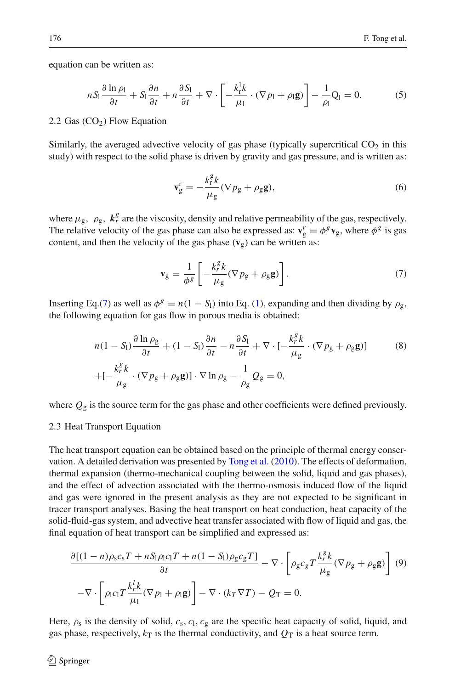equation can be written as:

$$
nS_1 \frac{\partial \ln \rho_1}{\partial t} + S_1 \frac{\partial n}{\partial t} + n \frac{\partial S_1}{\partial t} + \nabla \cdot \left[ -\frac{k_1^2 k}{\mu_1} \cdot (\nabla p_1 + \rho_1 \mathbf{g}) \right] - \frac{1}{\rho_1} Q_1 = 0. \tag{5}
$$

# <span id="page-3-2"></span>2.2 Gas  $(CO<sub>2</sub>)$  Flow Equation

Similarly, the averaged advective velocity of gas phase (typically supercritical  $CO<sub>2</sub>$  in this study) with respect to the solid phase is driven by gravity and gas pressure, and is written as:

$$
\mathbf{v}_g^{\mathrm{r}} = -\frac{k_{\mathrm{r}}^{\mathrm{g}}k}{\mu_{\mathrm{g}}} (\nabla p_{\mathrm{g}} + \rho_{\mathrm{g}} \mathbf{g}),\tag{6}
$$

where  $\mu_{g}$ ,  $\rho_{g}$ ,  $k_{r}^{g}$  are the viscosity, density and relative permeability of the gas, respectively. The relative velocity of the gas phase can also be expressed as:  $\mathbf{v}_g^r = \phi^g \mathbf{v}_g$ , where  $\phi^g$  is gas content, and then the velocity of the gas phase  $(v_g)$  can be written as:

$$
\mathbf{v}_{g} = \frac{1}{\phi^{g}} \left[ -\frac{k_{r}^{g} k}{\mu_{g}} (\nabla p_{g} + \rho_{g} \mathbf{g}) \right]. \tag{7}
$$

<span id="page-3-1"></span><span id="page-3-0"></span>Inserting Eq.[\(7\)](#page-3-0) as well as  $\phi^g = n(1 - S_1)$  into Eq. [\(1\)](#page-2-1), expanding and then dividing by  $\rho_g$ , the following equation for gas flow in porous media is obtained:

$$
n(1 - S_1) \frac{\partial \ln \rho_g}{\partial t} + (1 - S_1) \frac{\partial n}{\partial t} - n \frac{\partial S_1}{\partial t} + \nabla \cdot \left[ -\frac{k_r^g k}{\mu_g} \cdot (\nabla p_g + \rho_g \mathbf{g}) \right]
$$
(8)  
+ 
$$
\left[ -\frac{k_r^g k}{\mu_g} \cdot (\nabla p_g + \rho_g \mathbf{g}) \right] \cdot \nabla \ln \rho_g - \frac{1}{\rho_g} Q_g = 0,
$$

where  $Q_g$  is the source term for the gas phase and other coefficients were defined previously.

#### 2.3 Heat Transport Equation

The heat transport equation can be obtained based on the principle of thermal energy conservation. A detailed derivation was presented by [Tong et al.](#page-18-10) [\(2010\)](#page-18-10). The effects of deformation, thermal expansion (thermo-mechanical coupling between the solid, liquid and gas phases), and the effect of advection associated with the thermo-osmosis induced flow of the liquid and gas were ignored in the present analysis as they are not expected to be significant in tracer transport analyses. Basing the heat transport on heat conduction, heat capacity of the solid-fluid-gas system, and advective heat transfer associated with flow of liquid and gas, the final equation of heat transport can be simplified and expressed as:

<span id="page-3-3"></span>
$$
\frac{\partial [(1-n)\rho_{\rm s}c_{\rm s}T + nS_{\rm l}\rho_{\rm l}c_{\rm l}T + n(1-S_{\rm l})\rho_{\rm g}c_{\rm g}T]}{\partial t} - \nabla \cdot \left[\rho_{\rm g}c_{\rm g}T\frac{k_r^{\rm g}k}{\mu_{\rm g}}(\nabla p_{\rm g} + \rho_{\rm g}\mathbf{g})\right] (9)
$$

$$
-\nabla \cdot \left[\rho_{\rm l}c_{\rm l}T\frac{k_r^{\rm l}k}{\mu_{\rm l}}(\nabla p_{\rm l} + \rho_{\rm l}\mathbf{g})\right] - \nabla \cdot (k_T\nabla T) - Q_{\rm T} = 0.
$$

Here,  $\rho_s$  is the density of solid,  $c_s$ ,  $c_l$ ,  $c_g$  are the specific heat capacity of solid, liquid, and gas phase, respectively,  $k<sub>T</sub>$  is the thermal conductivity, and  $Q<sub>T</sub>$  is a heat source term.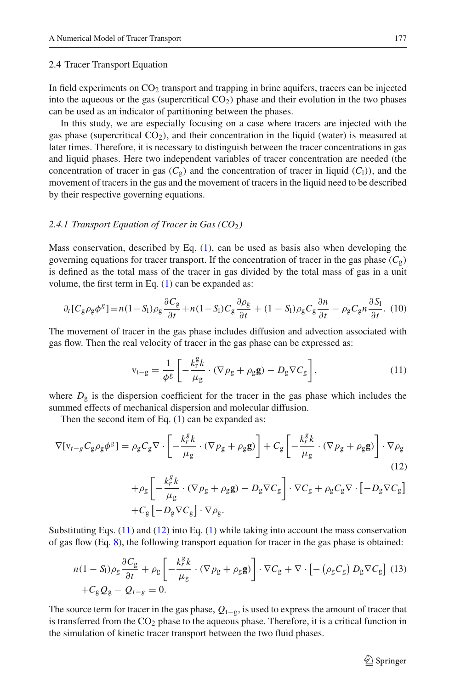## 2.4 Tracer Transport Equation

In field experiments on  $CO<sub>2</sub>$  transport and trapping in brine aquifers, tracers can be injected into the aqueous or the gas (supercritical  $CO<sub>2</sub>$ ) phase and their evolution in the two phases can be used as an indicator of partitioning between the phases.

In this study, we are especially focusing on a case where tracers are injected with the gas phase (supercritical  $CO<sub>2</sub>$ ), and their concentration in the liquid (water) is measured at later times. Therefore, it is necessary to distinguish between the tracer concentrations in gas and liquid phases. Here two independent variables of tracer concentration are needed (the concentration of tracer in gas  $(C_{\alpha})$  and the concentration of tracer in liquid  $(C_1)$ ), and the movement of tracers in the gas and the movement of tracers in the liquid need to be described by their respective governing equations.

## 2.4.1 Transport Equation of Tracer in Gas (CO<sub>2</sub>)

Mass conservation, described by Eq. [\(1\)](#page-2-1), can be used as basis also when developing the governing equations for tracer transport. If the concentration of tracer in the gas phase  $(C_g)$ is defined as the total mass of the tracer in gas divided by the total mass of gas in a unit volume, the first term in Eq.  $(1)$  can be expanded as:

$$
\partial_t [C_g \rho_g \phi^g] = n(1 - S_l) \rho_g \frac{\partial C_g}{\partial t} + n(1 - S_l) C_g \frac{\partial \rho_g}{\partial t} + (1 - S_l) \rho_g C_g \frac{\partial n}{\partial t} - \rho_g C_g n \frac{\partial S_l}{\partial t}.
$$
 (10)

The movement of tracer in the gas phase includes diffusion and advection associated with gas flow. Then the real velocity of tracer in the gas phase can be expressed as:

$$
\mathbf{v}_{\mathbf{t}-\mathbf{g}} = \frac{1}{\phi \mathbf{g}} \left[ -\frac{k_{\mathbf{r}}^{\mathbf{g}} k}{\mu_{\mathbf{g}}} \cdot (\nabla p_{\mathbf{g}} + \rho_{\mathbf{g}} \mathbf{g}) - D_{\mathbf{g}} \nabla C_{\mathbf{g}} \right],\tag{11}
$$

<span id="page-4-0"></span>where  $D_g$  is the dispersion coefficient for the tracer in the gas phase which includes the summed effects of mechanical dispersion and molecular diffusion.

Then the second item of Eq.  $(1)$  can be expanded as:

<span id="page-4-1"></span>
$$
\nabla[\mathbf{v}_{t-g}C_{g}\rho_{g}\phi^{g}] = \rho_{g}C_{g}\nabla \cdot \left[ -\frac{k_{r}^{g}k}{\mu_{g}} \cdot (\nabla p_{g} + \rho_{g}\mathbf{g}) \right] + C_{g}\left[ -\frac{k_{r}^{g}k}{\mu_{g}} \cdot (\nabla p_{g} + \rho_{g}\mathbf{g}) \right] \cdot \nabla \rho_{g}
$$
\n(12)

$$
+\rho_{g}\left[-\frac{k_{r}^{g}k}{\mu_{g}}\cdot(\nabla p_{g}+\rho_{g}g)-D_{g}\nabla C_{g}\right]\cdot\nabla C_{g}+\rho_{g}C_{g}\nabla\cdot\left[-D_{g}\nabla C_{g}\right] +C_{g}\left[-D_{g}\nabla C_{g}\right]\cdot\nabla\rho_{g}.
$$

<span id="page-4-2"></span>Substituting Eqs. [\(11\)](#page-4-0) and [\(12\)](#page-4-1) into Eq. [\(1\)](#page-2-1) while taking into account the mass conservation of gas flow (Eq. [8\)](#page-3-1), the following transport equation for tracer in the gas phase is obtained:

$$
n(1 - S_1)\rho_g \frac{\partial C_g}{\partial t} + \rho_g \left[ -\frac{k_f^g k}{\mu_g} \cdot (\nabla p_g + \rho_g \mathbf{g}) \right] \cdot \nabla C_g + \nabla \cdot \left[ -\left( \rho_g C_g \right) D_g \nabla C_g \right] (13) + C_g Q_g - Q_{t-g} = 0.
$$

The source term for tracer in the gas phase,  $Q_{t-g}$ , is used to express the amount of tracer that is transferred from the  $CO<sub>2</sub>$  phase to the aqueous phase. Therefore, it is a critical function in the simulation of kinetic tracer transport between the two fluid phases.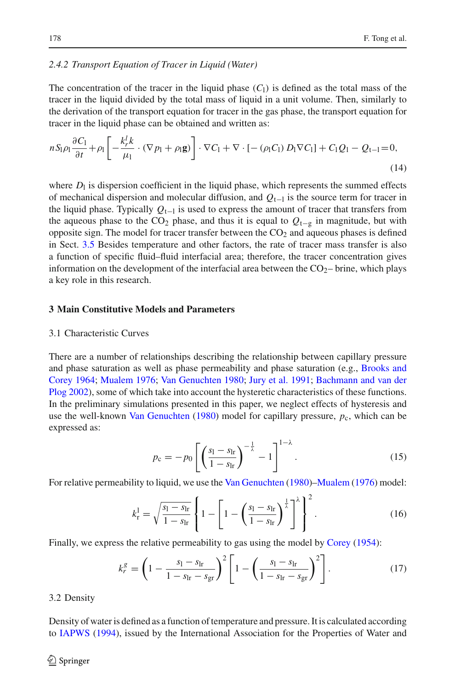# *2.4.2 Transport Equation of Tracer in Liquid (Water)*

The concentration of the tracer in the liquid phase  $(C<sub>1</sub>)$  is defined as the total mass of the tracer in the liquid divided by the total mass of liquid in a unit volume. Then, similarly to the derivation of the transport equation for tracer in the gas phase, the transport equation for tracer in the liquid phase can be obtained and written as:

<span id="page-5-1"></span>
$$
nS_{\vert\rho\vert}\frac{\partial C_{\vert}}{\partial t} + \rho_{\vert} \left[ -\frac{k_r^l k}{\mu_{\vert}} \cdot (\nabla p_{\vert} + \rho_{\vert} \mathbf{g}) \right] \cdot \nabla C_{\vert} + \nabla \cdot \left[ -(\rho_{\vert} C_{\vert}) D_{\vert} \nabla C_{\vert} \right] + C_{\vert} Q_{\vert} - Q_{\vert - \vert} = 0,
$$
\n(14)

where  $D_1$  is dispersion coefficient in the liquid phase, which represents the summed effects of mechanical dispersion and molecular diffusion, and *Q*t−<sup>l</sup> is the source term for tracer in the liquid phase. Typically *Q*t−<sup>l</sup> is used to express the amount of tracer that transfers from the aqueous phase to the CO<sub>2</sub> phase, and thus it is equal to  $Q_{t-p}$  in magnitude, but with opposite sign. The model for tracer transfer between the  $CO<sub>2</sub>$  and aqueous phases is defined in Sect. [3.5](#page-6-0) Besides temperature and other factors, the rate of tracer mass transfer is also a function of specific fluid–fluid interfacial area; therefore, the tracer concentration gives information on the development of the interfacial area between the  $CO<sub>2</sub>$ - brine, which plays a key role in this research.

## <span id="page-5-0"></span>**3 Main Constitutive Models and Parameters**

## 3.1 Characteristic Curves

There are a number of relationships describing the relationship between capillary pressure and p[hase](#page-17-9) [saturation](#page-17-9) [as](#page-17-9) [well](#page-17-9) [as](#page-17-9) [phase](#page-17-9) [permeability](#page-17-9) [and](#page-17-9) [phase](#page-17-9) [saturation](#page-17-9) [\(e.g.,](#page-17-9) Brooks and Corey [1964;](#page-17-9) [Mualem 1976](#page-18-11); [Van Genuchten 1980;](#page-18-12) [Jury et al. 1991](#page-17-10); Bachmann and van der Plog [2002](#page-17-11)), some of which take into account the hysteretic characteristics of these functions. In the preliminary simulations presented in this paper, we neglect effects of hysteresis and use the well-known [Van Genuchten](#page-18-12)  $(1980)$  $(1980)$  model for capillary pressure,  $p_c$ , which can be expressed as:

$$
p_{\rm c} = -p_0 \left[ \left( \frac{s_{\rm l} - s_{\rm lr}}{1 - s_{\rm lr}} \right)^{-\frac{1}{\lambda}} - 1 \right]^{1 - \lambda} . \tag{15}
$$

<span id="page-5-2"></span>For relative permeability to liquid, we use the [Van Genuchten](#page-18-12) [\(1980\)](#page-18-12)[–Mualem](#page-18-11) [\(1976\)](#page-18-11) model:

$$
k_{\rm r}^{\rm l} = \sqrt{\frac{s_{\rm l} - s_{\rm lr}}{1 - s_{\rm lr}}} \left\{ 1 - \left[ 1 - \left( \frac{s_{\rm l} - s_{\rm lr}}{1 - s_{\rm lr}} \right)^{\frac{1}{\lambda}} \right]^{\lambda} \right\}^2.
$$
 (16)

<span id="page-5-4"></span><span id="page-5-3"></span>Finally, we express the relative permeability to gas using the model by [Corey](#page-17-12) [\(1954](#page-17-12)):

$$
k_r^g = \left(1 - \frac{s_l - s_{lr}}{1 - s_{lr} - s_{gr}}\right)^2 \left[1 - \left(\frac{s_l - s_{lr}}{1 - s_{lr} - s_{gr}}\right)^2\right].
$$
 (17)

3.2 Density

Density of water is defined as a function of temperature and pressure. It is calculated according to [IAPWS](#page-17-13) [\(1994](#page-17-13)), issued by the International Association for the Properties of Water and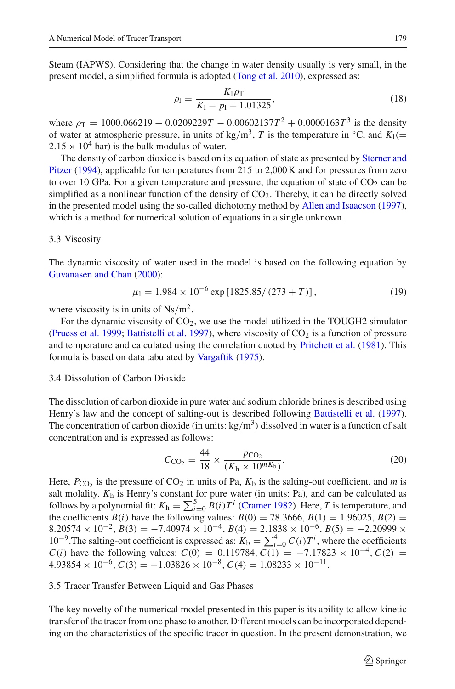Steam (IAPWS). Considering that the change in water density usually is very small, in the present model, a simplified formula is adopted [\(Tong et al. 2010\)](#page-18-10), expressed as:

$$
\rho_l = \frac{K_l \rho_T}{K_l - p_l + 1.01325},\tag{18}
$$

where  $\rho_T = 1000.066219 + 0.0209229T - 0.00602137T^2 + 0.0000163T^3$  is the density of water at atmospheric pressure, in units of kg/m<sup>3</sup>, *T* is the temperature in  $\degree$ C, and *K*<sub>1</sub>(=  $2.15 \times 10^4$  bar) is the bulk modulus of water.

T[he](#page-18-13) [density](#page-18-13) [of](#page-18-13) [carbon](#page-18-13) [dioxide](#page-18-13) [is](#page-18-13) [based](#page-18-13) [on](#page-18-13) [its](#page-18-13) [equation](#page-18-13) [of](#page-18-13) [state](#page-18-13) [as](#page-18-13) [presented](#page-18-13) [by](#page-18-13) Sterner and Pitzer [\(1994\)](#page-18-13), applicable for temperatures from 215 to 2,000 K and for pressures from zero to over 10 GPa. For a given temperature and pressure, the equation of state of  $CO<sub>2</sub>$  can be simplified as a nonlinear function of the density of  $CO<sub>2</sub>$ . Thereby, it can be directly solved in the presented model using the so-called dichotomy method by [Allen and Isaacson](#page-17-14) [\(1997\)](#page-17-14), which is a method for numerical solution of equations in a single unknown.

#### 3.3 Viscosity

The dynamic viscosity of water used in the model is based on the following equation by [Guvanasen and Chan](#page-17-15) [\(2000\)](#page-17-15):

$$
\mu_1 = 1.984 \times 10^{-6} \exp\left[1825.85/(273 + T)\right],\tag{19}
$$

where viscosity is in units of  $Ns/m^2$ .

For the dynamic viscosity of  $CO<sub>2</sub>$ , we use the model utilized in the TOUGH2 simulator [\(Pruess et al. 1999](#page-18-7); [Battistelli et al. 1997\)](#page-17-16), where viscosity of  $CO<sub>2</sub>$  is a function of pressure and temperature and calculated using the correlation quoted by [Pritchett et al.](#page-18-14) [\(1981](#page-18-14)). This formula is based on data tabulated by [Vargaftik](#page-18-15) [\(1975](#page-18-15)).

# 3.4 Dissolution of Carbon Dioxide

The dissolution of carbon dioxide in pure water and sodium chloride brines is described using Henry's law and the concept of salting-out is described following [Battistelli et al.](#page-17-16) [\(1997\)](#page-17-16). The concentration of carbon dioxide (in units:  $kg/m<sup>3</sup>$ ) dissolved in water is a function of salt concentration and is expressed as follows:

$$
C_{\rm{CO}_2} = \frac{44}{18} \times \frac{p_{\rm{CO}_2}}{(K_{\rm{h}} \times 10^{mK_{\rm{b}}})}.
$$
 (20)

Here,  $P_{CO_2}$  is the pressure of  $CO_2$  in units of Pa,  $K_b$  is the salting-out coefficient, and *m* is salt molality. *K*<sup>h</sup> is Henry's constant for pure water (in units: Pa), and can be calculated as follows by a polynomial fit:  $K_h = \sum_{i=0}^{5} B(i)T^i$  [\(Cramer 1982\)](#page-17-17). Here, *T* is temperature, and the coefficients *B*(*i*) have the following values: *B*(0) = 78.3666, *B*(1) = 1.96025, *B*(2) =  $8.20574 \times 10^{-2}$ ,  $B(3) = -7.40974 \times 10^{-4}$ ,  $B(4) = 2.1838 \times 10^{-6}$ ,  $B(5) = -2.20999 \times$ 10<sup>−9</sup>. The salting-out coefficient is expressed as:  $K_b = \sum_{i=0}^{4} C(i)T^i$ , where the coefficients *C*(*i*) have the following values:  $C(0) = 0.119784$ ,  $\overline{C(1)} = -7.17823 \times 10^{-4}$ ,  $C(2) =$  $4.93854 \times 10^{-6}$ ,  $C(3) = -1.03826 \times 10^{-8}$ ,  $C(4) = 1.08233 \times 10^{-11}$ .

# <span id="page-6-0"></span>3.5 Tracer Transfer Between Liquid and Gas Phases

The key novelty of the numerical model presented in this paper is its ability to allow kinetic transfer of the tracer from one phase to another. Different models can be incorporated depending on the characteristics of the specific tracer in question. In the present demonstration, we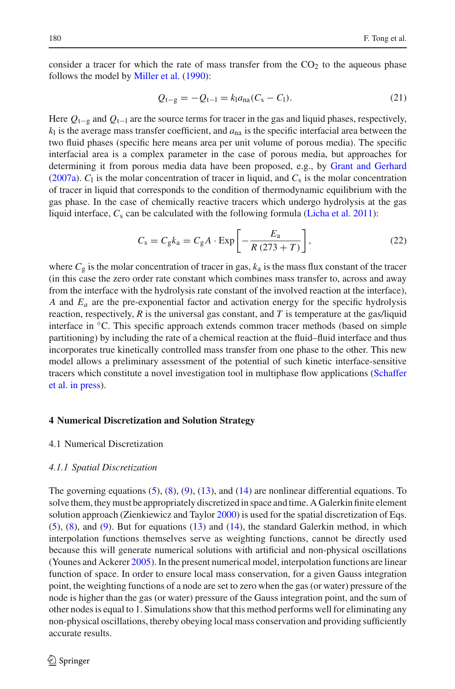consider a tracer for which the rate of mass transfer from the  $CO<sub>2</sub>$  to the aqueous phase follows the model by [Miller et al.](#page-18-16) [\(1990](#page-18-16)):

$$
Q_{t-g} = -Q_{t-1} = k_1 a_{na} (C_s - C_l). \tag{21}
$$

<span id="page-7-0"></span>Here *Q*t−<sup>g</sup> and *Q*t−<sup>l</sup> are the source terms for tracer in the gas and liquid phases, respectively,  $k<sub>l</sub>$  is the average mass transfer coefficient, and  $a<sub>na</sub>$  is the specific interfacial area between the two fluid phases (specific here means area per unit volume of porous media). The specific interfacial area is a complex parameter in the case of porous media, but approaches for determining it from porous media data have been proposed, e.g., by [Grant and Gerhard](#page-17-18) [\(2007a](#page-17-18)).  $C_1$  is the molar concentration of tracer in liquid, and  $C_s$  is the molar concentration of tracer in liquid that corresponds to the condition of thermodynamic equilibrium with the gas phase. In the case of chemically reactive tracers which undergo hydrolysis at the gas liquid interface,  $C_s$  can be calculated with the following formula [\(Licha et al. 2011](#page-18-6)):

$$
C_{\rm s} = C_{\rm g} k_{\rm a} = C_{\rm g} A \cdot \text{Exp}\left[-\frac{E_{\rm a}}{R\left(273 + T\right)}\right],\tag{22}
$$

<span id="page-7-1"></span>where  $C_g$  is the molar concentration of tracer in gas,  $k_a$  is the mass flux constant of the tracer (in this case the zero order rate constant which combines mass transfer to, across and away from the interface with the hydrolysis rate constant of the involved reaction at the interface), *A* and *Ea* are the pre-exponential factor and activation energy for the specific hydrolysis reaction, respectively, *R* is the universal gas constant, and *T* is temperature at the gas/liquid interface in ◦C. This specific approach extends common tracer methods (based on simple partitioning) by including the rate of a chemical reaction at the fluid–fluid interface and thus incorporates true kinetically controlled mass transfer from one phase to the other. This new model allows a preliminary assessment of the potential of such kinetic interface-sensitive trace[rs](#page-18-5) [which](#page-18-5) [constitute](#page-18-5) [a](#page-18-5) [novel](#page-18-5) [investigation](#page-18-5) [tool](#page-18-5) [in](#page-18-5) [multiphase](#page-18-5) [flow](#page-18-5) [applications](#page-18-5) [\(](#page-18-5)Schaffer et al. [in press](#page-18-5)).

# **4 Numerical Discretization and Solution Strategy**

# 4.1 Numerical Discretization

## *4.1.1 Spatial Discretization*

The governing equations  $(5)$ ,  $(8)$ ,  $(9)$ ,  $(13)$ , and  $(14)$  are nonlinear differential equations. To solve them, they must be appropriately discretized in space and time. A Galerkin finite element solution approach (Zienkiewicz and Taylor [2000\)](#page-19-1) is used for the spatial discretization of Eqs. [\(5\)](#page-3-2), [\(8\)](#page-3-1), and [\(9\)](#page-3-3). But for equations [\(13\)](#page-4-2) and [\(14\)](#page-5-1), the standard Galerkin method, in which interpolation functions themselves serve as weighting functions, cannot be directly used because this will generate numerical solutions with artificial and non-physical oscillations (Younes and Ackerer [2005\)](#page-18-17). In the present numerical model, interpolation functions are linear function of space. In order to ensure local mass conservation, for a given Gauss integration point, the weighting functions of a node are set to zero when the gas (or water) pressure of the node is higher than the gas (or water) pressure of the Gauss integration point, and the sum of other nodes is equal to 1. Simulations show that this method performs well for eliminating any non-physical oscillations, thereby obeying local mass conservation and providing sufficiently accurate results.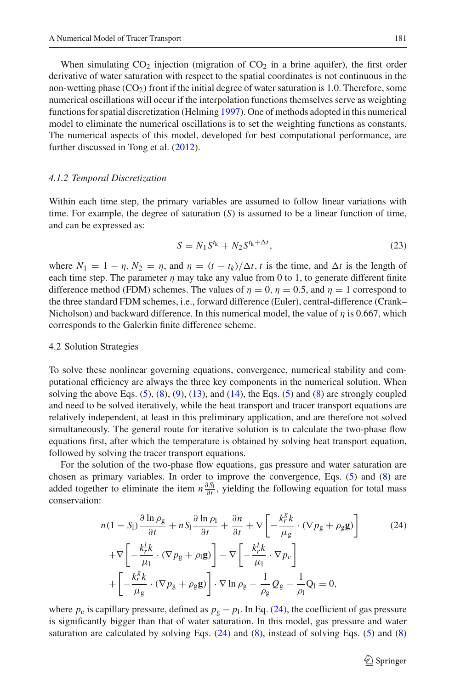When simulating  $CO_2$  injection (migration of  $CO_2$  in a brine aquifer), the first order derivative of water saturation with respect to the spatial coordinates is not continuous in the non-wetting phase  $(CO<sub>2</sub>)$  front if the initial degree of water saturation is 1.0. Therefore, some numerical oscillations will occur if the interpolation functions themselves serve as weighting functions for spatial discretization (Helming [1997](#page-17-6)). One of methods adopted in this numerical model to eliminate the numerical oscillations is to set the weighting functions as constants. The numerical aspects of this model, developed for best computational performance, are further discussed in Tong et al. [\(2012](#page-18-18)).

#### *4.1.2 Temporal Discretization*

Within each time step, the primary variables are assumed to follow linear variations with time. For example, the degree of saturation (*S*) is assumed to be a linear function of time, and can be expressed as:

$$
S = N_1 S^{t_k} + N_2 S^{t_k + \Delta t},\tag{23}
$$

where  $N_1 = 1 - \eta$ ,  $N_2 = \eta$ , and  $\eta = (t - t_k)/\Delta t$ , *t* is the time, and  $\Delta t$  is the length of each time step. The parameter  $\eta$  may take any value from 0 to 1, to generate different finite difference method (FDM) schemes. The values of  $\eta = 0$ ,  $\eta = 0.5$ , and  $\eta = 1$  correspond to the three standard FDM schemes, i.e., forward difference (Euler), central-difference (Crank– Nicholson) and backward difference. In this numerical model, the value of  $\eta$  is 0.667, which corresponds to the Galerkin finite difference scheme.

#### 4.2 Solution Strategies

To solve these nonlinear governing equations, convergence, numerical stability and computational efficiency are always the three key components in the numerical solution. When solving the above Eqs.  $(5)$ ,  $(8)$ ,  $(9)$ ,  $(13)$ , and  $(14)$ , the Eqs.  $(5)$  and  $(8)$  are strongly coupled and need to be solved iteratively, while the heat transport and tracer transport equations are relatively independent, at least in this preliminary application, and are therefore not solved simultaneously. The general route for iterative solution is to calculate the two-phase flow equations first, after which the temperature is obtained by solving heat transport equation, followed by solving the tracer transport equations.

<span id="page-8-0"></span>For the solution of the two-phase flow equations, gas pressure and water saturation are chosen as primary variables. In order to improve the convergence, Eqs. [\(5\)](#page-3-2) and [\(8\)](#page-3-1) are added together to eliminate the item  $n \frac{\partial S_l}{\partial t}$ , yielding the following equation for total mass conservation:

$$
n(1 - S_1) \frac{\partial \ln \rho_{g}}{\partial t} + nS_1 \frac{\partial \ln \rho_{l}}{\partial t} + \frac{\partial n}{\partial t} + \nabla \left[ -\frac{k_r^g k}{\mu_{g}} \cdot (\nabla p_{g} + \rho_{g} \mathbf{g}) \right]
$$
(24)  
+
$$
\nabla \left[ -\frac{k_r^l k}{\mu_{l}} \cdot (\nabla p_{g} + \rho_{l} \mathbf{g}) \right] - \nabla \left[ -\frac{k_r^l k}{\mu_{l}} \cdot \nabla p_{c} \right]
$$
  
+
$$
\left[ -\frac{k_r^g k}{\mu_{g}} \cdot (\nabla p_{g} + \rho_{g} \mathbf{g}) \right] \cdot \nabla \ln \rho_{g} - \frac{1}{\rho_{g}} Q_{g} - \frac{1}{\rho_{l}} Q_{l} = 0,
$$

where  $p_c$  is capillary pressure, defined as  $p_g - p_l$ . In Eq. [\(24\)](#page-8-0), the coefficient of gas pressure is significantly bigger than that of water saturation. In this model, gas pressure and water saturation are calculated by solving Eqs. [\(24\)](#page-8-0) and [\(8\)](#page-3-1), instead of solving Eqs. [\(5\)](#page-3-2) and [\(8\)](#page-3-1)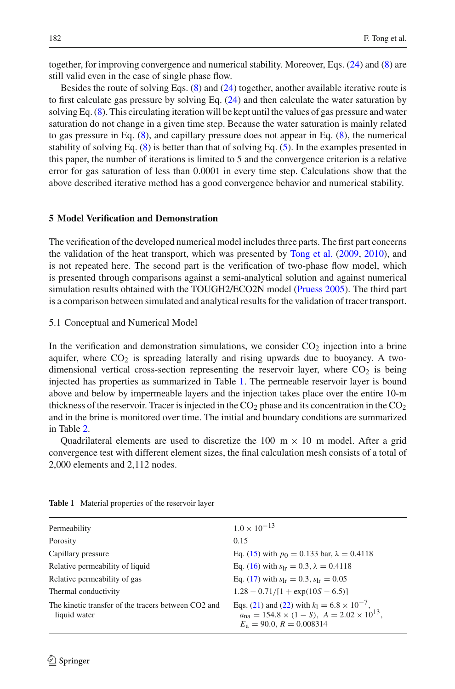together, for improving convergence and numerical stability. Moreover, Eqs. [\(24\)](#page-8-0) and [\(8\)](#page-3-1) are still valid even in the case of single phase flow.

Besides the route of solving Eqs. [\(8\)](#page-3-1) and [\(24\)](#page-8-0) together, another available iterative route is to first calculate gas pressure by solving Eq.  $(24)$  and then calculate the water saturation by solving Eq. [\(8\)](#page-3-1). This circulating iteration will be kept until the values of gas pressure and water saturation do not change in a given time step. Because the water saturation is mainly related to gas pressure in Eq. [\(8\)](#page-3-1), and capillary pressure does not appear in Eq. [\(8\)](#page-3-1), the numerical stability of solving Eq. [\(8\)](#page-3-1) is better than that of solving Eq. [\(5\)](#page-3-2). In the examples presented in this paper, the number of iterations is limited to 5 and the convergence criterion is a relative error for gas saturation of less than 0.0001 in every time step. Calculations show that the above described iterative method has a good convergence behavior and numerical stability.

## **5 Model Verification and Demonstration**

The verification of the developed numerical model includes three parts. The first part concerns the validation of the heat transport, which was presented by [Tong et al.](#page-18-19) [\(2009,](#page-18-19) [2010\)](#page-18-10), and is not repeated here. The second part is the verification of two-phase flow model, which is presented through comparisons against a semi-analytical solution and against numerical simulation results obtained with the TOUGH2/ECO2N model [\(Pruess 2005](#page-18-8)). The third part is a comparison between simulated and analytical results for the validation of tracer transport.

<span id="page-9-1"></span>5.1 Conceptual and Numerical Model

In the verification and demonstration simulations, we consider  $CO<sub>2</sub>$  injection into a brine aquifer, where  $CO<sub>2</sub>$  is spreading laterally and rising upwards due to buoyancy. A twodimensional vertical cross-section representing the reservoir layer, where  $CO<sub>2</sub>$  is being injected has properties as summarized in Table [1.](#page-9-0) The permeable reservoir layer is bound above and below by impermeable layers and the injection takes place over the entire 10-m thickness of the reservoir. Tracer is injected in the  $CO<sub>2</sub>$  phase and its concentration in the  $CO<sub>2</sub>$ and in the brine is monitored over time. The initial and boundary conditions are summarized in Table [2.](#page-10-0)

Quadrilateral elements are used to discretize the  $100 \text{ m} \times 10 \text{ m}$  model. After a grid convergence test with different element sizes, the final calculation mesh consists of a total of 2,000 elements and 2,112 nodes.

| Permeability                                                        | $1.0 \times 10^{-13}$                                                                                                                                         |
|---------------------------------------------------------------------|---------------------------------------------------------------------------------------------------------------------------------------------------------------|
| Porosity                                                            | 0.15                                                                                                                                                          |
| Capillary pressure                                                  | Eq. (15) with $p_0 = 0.133$ bar, $\lambda = 0.4118$                                                                                                           |
| Relative permeability of liquid                                     | Eq. (16) with $s_{1r} = 0.3$ , $\lambda = 0.4118$                                                                                                             |
| Relative permeability of gas                                        | Eq. (17) with $s_{1r} = 0.3$ , $s_{1r} = 0.05$                                                                                                                |
| Thermal conductivity                                                | $1.28 - 0.71/[1 + \exp(10S - 6.5)]$                                                                                                                           |
| The kinetic transfer of the tracers between CO2 and<br>liquid water | Eqs. (21) and (22) with $k_1 = 6.8 \times 10^{-7}$ ,<br>$a_{\text{na}} = 154.8 \times (1 - S)$ , $A = 2.02 \times 10^{13}$ ,<br>$E_a = 90.0$ , $R = 0.008314$ |

<span id="page-9-0"></span>**Table 1** Material properties of the reservoir layer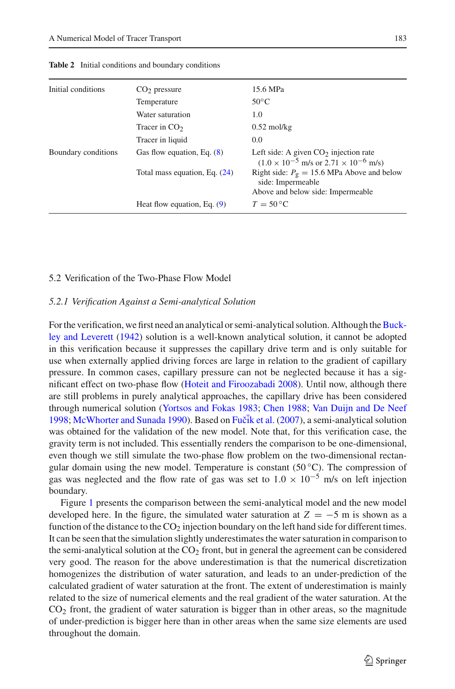<span id="page-10-0"></span>

| Initial conditions  | CO <sub>2</sub> pressure      | 15.6 MPa                                                                                                          |
|---------------------|-------------------------------|-------------------------------------------------------------------------------------------------------------------|
|                     | Temperature                   | $50^{\circ}$ C                                                                                                    |
|                     | Water saturation              | 1.0                                                                                                               |
|                     | Tracer in $CO2$               | $0.52 \text{ mol/kg}$                                                                                             |
|                     | Tracer in liquid              | 0.0                                                                                                               |
| Boundary conditions | Gas flow equation, Eq. $(8)$  | Left side: A given $CO2$ injection rate<br>$(1.0 \times 10^{-5} \text{ m/s or } 2.71 \times 10^{-6} \text{ m/s})$ |
|                     | Total mass equation, Eq. (24) | Right side: $P_g = 15.6$ MPa Above and below<br>side: Impermeable<br>Above and below side: Impermeable            |
|                     | Heat flow equation, Eq. $(9)$ | $T = 50 °C$                                                                                                       |

**Table 2** Initial conditions and boundary conditions

# 5.2 Verification of the Two-Phase Flow Model

# *5.2.1 Verification Against a Semi-analytical Solution*

For the verificati[on,](#page-17-19) [we](#page-17-19) [first](#page-17-19) [need](#page-17-19) [an](#page-17-19) [analytical](#page-17-19) [or](#page-17-19) [semi-analytical](#page-17-19) [solution.](#page-17-19) [Although](#page-17-19) [the](#page-17-19) Buckley and Leverett [\(1942\)](#page-17-19) solution is a well-known analytical solution, it cannot be adopted in this verification because it suppresses the capillary drive term and is only suitable for use when externally applied driving forces are large in relation to the gradient of capillary pressure. In common cases, capillary pressure can not be neglected because it has a significant effect on two-phase flow [\(Hoteit and Firoozabadi 2008\)](#page-17-4). Until now, although there are still problems in purely analytical approaches, the capillary drive has been considered through numerical solution [\(Yortsos and Fokas 1983](#page-18-20); [Chen 1988](#page-17-20); [Van Duijn and De Neef](#page-18-21) [1998](#page-18-21); [McWhorter and Sunada 1990\)](#page-18-22). Based on [Fuˇc¯ik et al.](#page-17-21) [\(2007](#page-17-21)), a semi-analytical solution was obtained for the validation of the new model. Note that, for this verification case, the gravity term is not included. This essentially renders the comparison to be one-dimensional, even though we still simulate the two-phase flow problem on the two-dimensional rectangular domain using the new model. Temperature is constant  $(50^{\circ}C)$ . The compression of gas was neglected and the flow rate of gas was set to  $1.0 \times 10^{-5}$  m/s on left injection boundary.

Figure [1](#page-11-0) presents the comparison between the semi-analytical model and the new model developed here. In the figure, the simulated water saturation at  $Z = -5$  m is shown as a function of the distance to the  $CO<sub>2</sub>$  injection boundary on the left hand side for different times. It can be seen that the simulation slightly underestimates the water saturation in comparison to the semi-analytical solution at the  $CO<sub>2</sub>$  front, but in general the agreement can be considered very good. The reason for the above underestimation is that the numerical discretization homogenizes the distribution of water saturation, and leads to an under-prediction of the calculated gradient of water saturation at the front. The extent of underestimation is mainly related to the size of numerical elements and the real gradient of the water saturation. At the  $CO<sub>2</sub>$  front, the gradient of water saturation is bigger than in other areas, so the magnitude of under-prediction is bigger here than in other areas when the same size elements are used throughout the domain.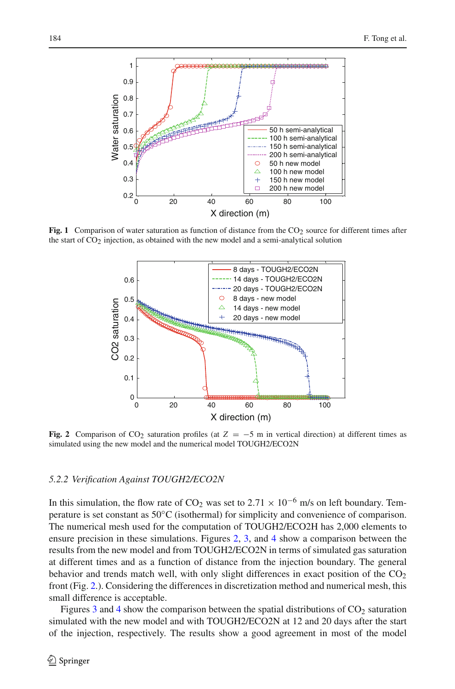

<span id="page-11-0"></span>**Fig. 1** Comparison of water saturation as function of distance from the  $CO<sub>2</sub>$  source for different times after the start of  $CO<sub>2</sub>$  injection, as obtained with the new model and a semi-analytical solution



<span id="page-11-1"></span>**Fig. 2** Comparison of CO<sub>2</sub> saturation profiles (at  $Z = -5$  m in vertical direction) at different times as simulated using the new model and the numerical model TOUGH2/ECO2N

# *5.2.2 Verification Against TOUGH2/ECO2N*

In this simulation, the flow rate of CO<sub>2</sub> was set to 2.71  $\times$  10<sup>-6</sup> m/s on left boundary. Temperature is set constant as 50◦C (isothermal) for simplicity and convenience of comparison. The numerical mesh used for the computation of TOUGH2/ECO2H has 2,000 elements to ensure precision in these simulations. Figures [2,](#page-11-1) [3,](#page-12-0) and [4](#page-12-1) show a comparison between the results from the new model and from TOUGH2/ECO2N in terms of simulated gas saturation at different times and as a function of distance from the injection boundary. The general behavior and trends match well, with only slight differences in exact position of the  $CO<sub>2</sub>$ front (Fig. [2.](#page-11-1)). Considering the differences in discretization method and numerical mesh, this small difference is acceptable.

Figures [3](#page-12-0) and [4](#page-12-1) show the comparison between the spatial distributions of  $CO<sub>2</sub>$  saturation simulated with the new model and with TOUGH2/ECO2N at 12 and 20 days after the start of the injection, respectively. The results show a good agreement in most of the model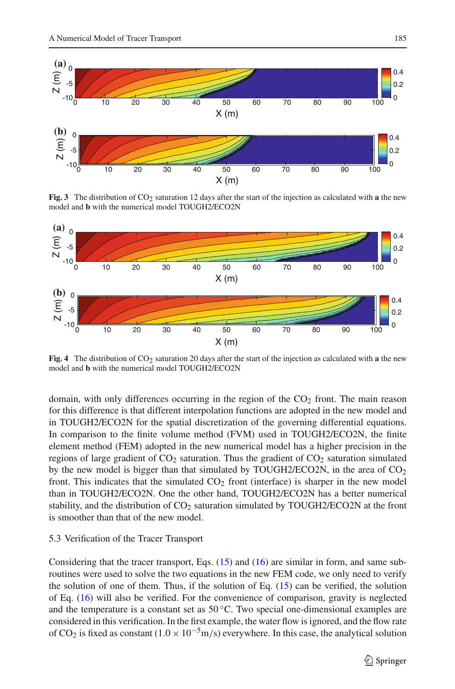

**Fig. 3** The distribution of CO<sub>2</sub> saturation 12 days after the start of the injection as calculated with **a** the new model and **b** with the numerical model TOUGH2/ECO2N

<span id="page-12-0"></span>

<span id="page-12-1"></span>**Fig. 4** The distribution of  $CO<sub>2</sub>$  saturation 20 days after the start of the injection as calculated with **a** the new model and **b** with the numerical model TOUGH2/ECO2N

domain, with only differences occurring in the region of the  $CO<sub>2</sub>$  front. The main reason for this difference is that different interpolation functions are adopted in the new model and in TOUGH2/ECO2N for the spatial discretization of the governing differential equations. In comparison to the finite volume method (FVM) used in TOUGH2/ECO2N, the finite element method (FEM) adopted in the new numerical model has a higher precision in the regions of large gradient of  $CO<sub>2</sub>$  saturation. Thus the gradient of  $CO<sub>2</sub>$  saturation simulated by the new model is bigger than that simulated by TOUGH2/ECO2N, in the area of  $CO<sub>2</sub>$ front. This indicates that the simulated  $CO<sub>2</sub>$  front (interface) is sharper in the new model than in TOUGH2/ECO2N. One the other hand, TOUGH2/ECO2N has a better numerical stability, and the distribution of  $CO<sub>2</sub>$  saturation simulated by TOUGH2/ECO2N at the front is smoother than that of the new model.

# 5.3 Verification of the Tracer Transport

Considering that the tracer transport, Eqs.  $(15)$  and  $(16)$  are similar in form, and same subroutines were used to solve the two equations in the new FEM code, we only need to verify the solution of one of them. Thus, if the solution of Eq. [\(15\)](#page-5-2) can be verified, the solution of Eq. [\(16\)](#page-5-3) will also be verified. For the convenience of comparison, gravity is neglected and the temperature is a constant set as  $50^{\circ}$ C. Two special one-dimensional examples are considered in this verification. In the first example, the water flow is ignored, and the flow rate of CO<sub>2</sub> is fixed as constant (1.0 × 10<sup>-5</sup>m/s) everywhere. In this case, the analytical solution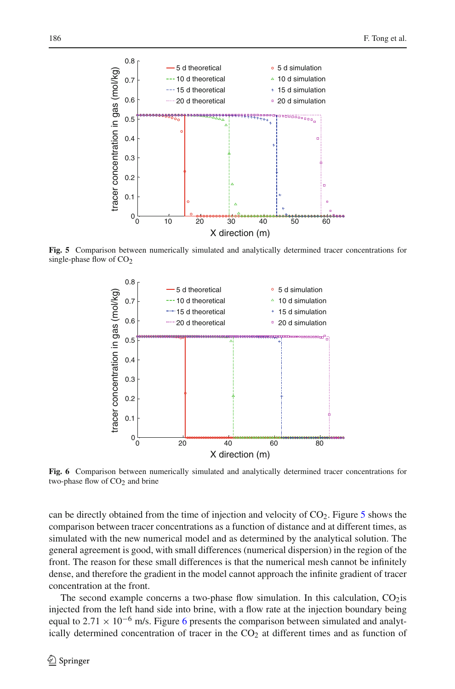

<span id="page-13-0"></span>**Fig. 5** Comparison between numerically simulated and analytically determined tracer concentrations for single-phase flow of  $CO<sub>2</sub>$ 



<span id="page-13-1"></span>**Fig. 6** Comparison between numerically simulated and analytically determined tracer concentrations for two-phase flow of  $CO<sub>2</sub>$  and brine

can be directly obtained from the time of injection and velocity of  $CO<sub>2</sub>$ . Figure [5](#page-13-0) shows the comparison between tracer concentrations as a function of distance and at different times, as simulated with the new numerical model and as determined by the analytical solution. The general agreement is good, with small differences (numerical dispersion) in the region of the front. The reason for these small differences is that the numerical mesh cannot be infinitely dense, and therefore the gradient in the model cannot approach the infinite gradient of tracer concentration at the front.

The second example concerns a two-phase flow simulation. In this calculation,  $CO<sub>2</sub>$  is injected from the left hand side into brine, with a flow rate at the injection boundary being equal to 2.71  $\times$  10<sup>-[6](#page-13-1)</sup> m/s. Figure 6 presents the comparison between simulated and analytically determined concentration of tracer in the  $CO<sub>2</sub>$  at different times and as function of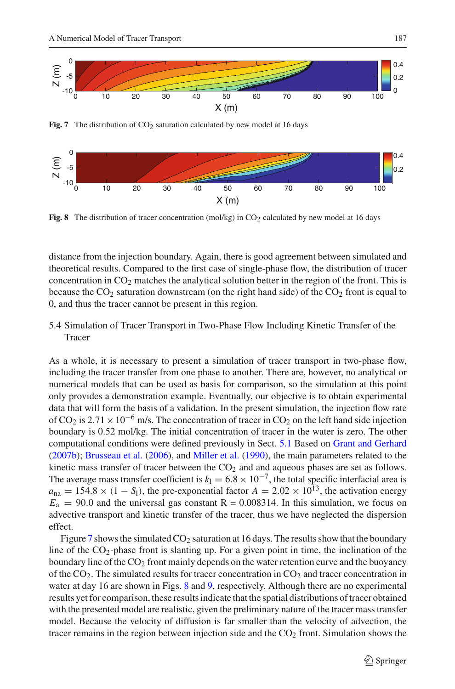

Fig. 7 The distribution of CO<sub>2</sub> saturation calculated by new model at 16 days

<span id="page-14-0"></span>

<span id="page-14-1"></span>**Fig. 8** The distribution of tracer concentration (mol/kg) in  $CO<sub>2</sub>$  calculated by new model at 16 days

distance from the injection boundary. Again, there is good agreement between simulated and theoretical results. Compared to the first case of single-phase flow, the distribution of tracer concentration in  $CO<sub>2</sub>$  matches the analytical solution better in the region of the front. This is because the  $CO<sub>2</sub>$  saturation downstream (on the right hand side) of the  $CO<sub>2</sub>$  front is equal to 0, and thus the tracer cannot be present in this region.

# 5.4 Simulation of Tracer Transport in Two-Phase Flow Including Kinetic Transfer of the Tracer

As a whole, it is necessary to present a simulation of tracer transport in two-phase flow, including the tracer transfer from one phase to another. There are, however, no analytical or numerical models that can be used as basis for comparison, so the simulation at this point only provides a demonstration example. Eventually, our objective is to obtain experimental data that will form the basis of a validation. In the present simulation, the injection flow rate of CO<sub>2</sub> is 2.71 × 10<sup>-6</sup> m/s. The concentration of tracer in CO<sub>2</sub> on the left hand side injection boundary is 0.52 mol/kg. The initial concentration of tracer in the water is zero. The other computational conditions were defined previously in Sect. [5.1](#page-9-1) Based on [Grant and Gerhard](#page-17-22) [\(2007b](#page-17-22)); [Brusseau et al.](#page-17-23) [\(2006\)](#page-17-23), and [Miller et al.](#page-18-16) [\(1990\)](#page-18-16), the main parameters related to the kinetic mass transfer of tracer between the  $CO<sub>2</sub>$  and and aqueous phases are set as follows. The average mass transfer coefficient is  $k_1 = 6.8 \times 10^{-7}$ , the total specific interfacial area is  $a_{na} = 154.8 \times (1 - S_1)$ , the pre-exponential factor  $A = 2.02 \times 10^{13}$ , the activation energy  $E_a = 90.0$  and the universal gas constant  $R = 0.008314$ . In this simulation, we focus on advective transport and kinetic transfer of the tracer, thus we have neglected the dispersion effect.

Figure [7](#page-14-0) shows the simulated  $CO<sub>2</sub>$  saturation at 16 days. The results show that the boundary line of the  $CO_2$ -phase front is slanting up. For a given point in time, the inclination of the boundary line of the  $CO<sub>2</sub>$  front mainly depends on the water retention curve and the buoyancy of the CO<sub>2</sub>. The simulated results for tracer concentration in CO<sub>2</sub> and tracer concentration in water at day 16 are shown in Figs. [8](#page-14-1) and [9,](#page-15-0) respectively. Although there are no experimental results yet for comparison, these results indicate that the spatial distributions of tracer obtained with the presented model are realistic, given the preliminary nature of the tracer mass transfer model. Because the velocity of diffusion is far smaller than the velocity of advection, the tracer remains in the region between injection side and the  $CO<sub>2</sub>$  front. Simulation shows the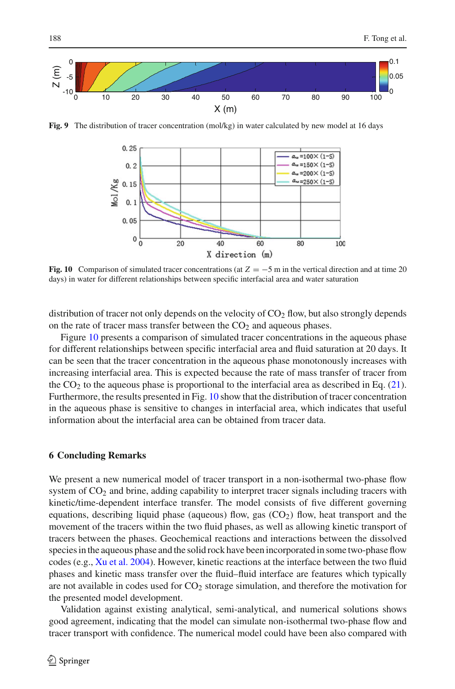

<span id="page-15-0"></span>**Fig. 9** The distribution of tracer concentration (mol/kg) in water calculated by new model at 16 days



<span id="page-15-1"></span>**Fig. 10** Comparison of simulated tracer concentrations (at  $Z = -5$  m in the vertical direction and at time 20 days) in water for different relationships between specific interfacial area and water saturation

distribution of tracer not only depends on the velocity of  $CO<sub>2</sub>$  flow, but also strongly depends on the rate of tracer mass transfer between the  $CO<sub>2</sub>$  and aqueous phases.

Figure [10](#page-15-1) presents a comparison of simulated tracer concentrations in the aqueous phase for different relationships between specific interfacial area and fluid saturation at 20 days. It can be seen that the tracer concentration in the aqueous phase monotonously increases with increasing interfacial area. This is expected because the rate of mass transfer of tracer from the  $CO<sub>2</sub>$  to the aqueous phase is proportional to the interfacial area as described in Eq. [\(21\)](#page-7-0). Furthermore, the results presented in Fig. [10](#page-15-1) show that the distribution of tracer concentration in the aqueous phase is sensitive to changes in interfacial area, which indicates that useful information about the interfacial area can be obtained from tracer data.

## **6 Concluding Remarks**

We present a new numerical model of tracer transport in a non-isothermal two-phase flow system of CO<sub>2</sub> and brine, adding capability to interpret tracer signals including tracers with kinetic/time-dependent interface transfer. The model consists of five different governing equations, describing liquid phase (aqueous) flow, gas  $(CO<sub>2</sub>)$  flow, heat transport and the movement of the tracers within the two fluid phases, as well as allowing kinetic transport of tracers between the phases. Geochemical reactions and interactions between the dissolved species in the aqueous phase and the solid rock have been incorporated in some two-phase flow codes (e.g., [Xu et al. 2004\)](#page-18-0). However, kinetic reactions at the interface between the two fluid phases and kinetic mass transfer over the fluid–fluid interface are features which typically are not available in codes used for  $CO<sub>2</sub>$  storage simulation, and therefore the motivation for the presented model development.

Validation against existing analytical, semi-analytical, and numerical solutions shows good agreement, indicating that the model can simulate non-isothermal two-phase flow and tracer transport with confidence. The numerical model could have been also compared with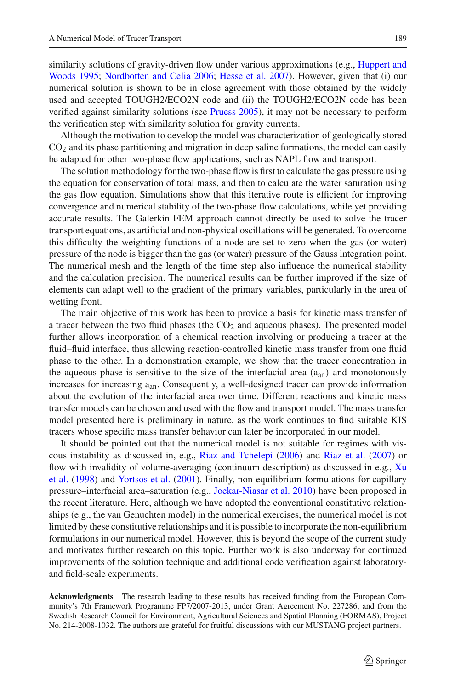simila[rity](#page-17-24) [solutions](#page-17-24) [of](#page-17-24) [gravity-driven](#page-17-24) [flow](#page-17-24) [under](#page-17-24) [various](#page-17-24) [approximations](#page-17-24) [\(e.g.,](#page-17-24) Huppert and Woods [1995](#page-17-24); [Nordbotten and Celia 2006](#page-18-23); [Hesse et al. 2007](#page-17-25)). However, given that (i) our

numerical solution is shown to be in close agreement with those obtained by the widely used and accepted TOUGH2/ECO2N code and (ii) the TOUGH2/ECO2N code has been verified against similarity solutions (see [Pruess 2005\)](#page-18-8), it may not be necessary to perform the verification step with similarity solution for gravity currents.

Although the motivation to develop the model was characterization of geologically stored CO2 and its phase partitioning and migration in deep saline formations, the model can easily be adapted for other two-phase flow applications, such as NAPL flow and transport.

The solution methodology for the two-phase flow is first to calculate the gas pressure using the equation for conservation of total mass, and then to calculate the water saturation using the gas flow equation. Simulations show that this iterative route is efficient for improving convergence and numerical stability of the two-phase flow calculations, while yet providing accurate results. The Galerkin FEM approach cannot directly be used to solve the tracer transport equations, as artificial and non-physical oscillations will be generated. To overcome this difficulty the weighting functions of a node are set to zero when the gas (or water) pressure of the node is bigger than the gas (or water) pressure of the Gauss integration point. The numerical mesh and the length of the time step also influence the numerical stability and the calculation precision. The numerical results can be further improved if the size of elements can adapt well to the gradient of the primary variables, particularly in the area of wetting front.

The main objective of this work has been to provide a basis for kinetic mass transfer of a tracer between the two fluid phases (the  $CO<sub>2</sub>$  and aqueous phases). The presented model further allows incorporation of a chemical reaction involving or producing a tracer at the fluid–fluid interface, thus allowing reaction-controlled kinetic mass transfer from one fluid phase to the other. In a demonstration example, we show that the tracer concentration in the aqueous phase is sensitive to the size of the interfacial area  $(a<sub>an</sub>)$  and monotonously increases for increasing aan. Consequently, a well-designed tracer can provide information about the evolution of the interfacial area over time. Different reactions and kinetic mass transfer models can be chosen and used with the flow and transport model. The mass transfer model presented here is preliminary in nature, as the work continues to find suitable KIS tracers whose specific mass transfer behavior can later be incorporated in our model.

It should be pointed out that the numerical model is not suitable for regimes with viscous instability as discussed in, e.g., [Riaz and Tchelepi](#page-18-24) [\(2006](#page-18-24)) and [Riaz et al.](#page-18-25) [\(2007\)](#page-18-25) or flow [with](#page-18-26) [invalidity](#page-18-26) [of](#page-18-26) [volume-averaging](#page-18-26) [\(continuum](#page-18-26) [description\)](#page-18-26) [as](#page-18-26) [discussed](#page-18-26) [in](#page-18-26) [e.g.,](#page-18-26) Xu et al. [\(1998](#page-18-26)) and [Yortsos et al.](#page-18-27) [\(2001\)](#page-18-27). Finally, non-equilibrium formulations for capillary pressure–interfacial area–saturation (e.g., [Joekar-Niasar et al. 2010\)](#page-17-26) have been proposed in the recent literature. Here, although we have adopted the conventional constitutive relationships (e.g., the van Genuchten model) in the numerical exercises, the numerical model is not limited by these constitutive relationships and it is possible to incorporate the non-equilibrium formulations in our numerical model. However, this is beyond the scope of the current study and motivates further research on this topic. Further work is also underway for continued improvements of the solution technique and additional code verification against laboratoryand field-scale experiments.

**Acknowledgments** The research leading to these results has received funding from the European Community's 7th Framework Programme FP7/2007-2013, under Grant Agreement No. 227286, and from the Swedish Research Council for Environment, Agricultural Sciences and Spatial Planning (FORMAS), Project No. 214-2008-1032. The authors are grateful for fruitful discussions with our MUSTANG project partners.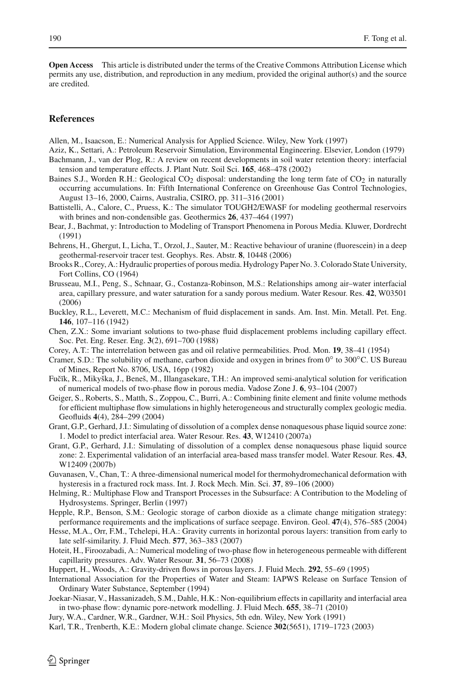**Open Access** This article is distributed under the terms of the Creative Commons Attribution License which permits any use, distribution, and reproduction in any medium, provided the original author(s) and the source are credited.

# **References**

<span id="page-17-14"></span>Allen, M., Isaacson, E.: Numerical Analysis for Applied Science. Wiley, New York (1997)

- <span id="page-17-8"></span>Aziz, K., Settari, A.: Petroleum Reservoir Simulation, Environmental Engineering. Elsevier, London (1979) Bachmann, J., van der Plog, R.: A review on recent developments in soil water retention theory: interfacial
- <span id="page-17-11"></span>tension and temperature effects. J. Plant Nutr. Soil Sci. **165**, 468–478 (2002)
- <span id="page-17-2"></span>Baines S.J., Worden R.H.: Geological  $CO<sub>2</sub>$  disposal: understanding the long term fate of  $CO<sub>2</sub>$  in naturally occurring accumulations. In: Fifth International Conference on Greenhouse Gas Control Technologies, August 13–16, 2000, Cairns, Australia, CSIRO, pp. 311–316 (2001)
- <span id="page-17-16"></span>Battistelli, A., Calore, C., Pruess, K.: The simulator TOUGH2/EWASF for modeling geothermal reservoirs with brines and non-condensible gas. Geothermics **26**, 437–464 (1997)
- <span id="page-17-7"></span>Bear, J., Bachmat, y: Introduction to Modeling of Transport Phenomena in Porous Media. Kluwer, Dordrecht (1991)
- <span id="page-17-3"></span>Behrens, H., Ghergut, I., Licha, T., Orzol, J., Sauter, M.: Reactive behaviour of uranine (fluorescein) in a deep geothermal-reservoir tracer test. Geophys. Res. Abstr. **8**, 10448 (2006)
- <span id="page-17-9"></span>Brooks R., Corey, A.: Hydraulic properties of porous media. Hydrology Paper No. 3. Colorado State University, Fort Collins, CO (1964)
- <span id="page-17-23"></span>Brusseau, M.I., Peng, S., Schnaar, G., Costanza-Robinson, M.S.: Relationships among air–water interfacial area, capillary pressure, and water saturation for a sandy porous medium. Water Resour. Res. **42**, W03501 (2006)
- <span id="page-17-19"></span>Buckley, R.L., Leverett, M.C.: Mechanism of fluid displacement in sands. Am. Inst. Min. Metall. Pet. Eng. **146**, 107–116 (1942)
- <span id="page-17-20"></span>Chen, Z.X.: Some invariant solutions to two-phase fluid displacement problems including capillary effect. Soc. Pet. Eng. Reser. Eng. **3**(2), 691–700 (1988)
- <span id="page-17-12"></span>Corey, A.T.: The interrelation between gas and oil relative permeabilities. Prod. Mon. **19**, 38–41 (1954)
- <span id="page-17-17"></span>Cramer, S.D.: The solubility of methane, carbon dioxide and oxygen in brines from 0◦ to 300◦C. US Bureau of Mines, Report No. 8706, USA, 16pp (1982)
- <span id="page-17-21"></span>Fučīk, R., Mikyška, J., Beneš, M., Illangasekare, T.H.: An improved semi-analytical solution for verification of numerical models of two-phase flow in porous media. Vadose Zone J. **6**, 93–104 (2007)
- <span id="page-17-5"></span>Geiger, S., Roberts, S., Matth, S., Zoppou, C., Burri, A.: Combining finite element and finite volume methods for efficient multiphase flow simulations in highly heterogeneous and structurally complex geologic media. Geofluids **4**(4), 284–299 (2004)
- <span id="page-17-18"></span>Grant, G.P., Gerhard, J.I.: Simulating of dissolution of a complex dense nonaquesous phase liquid source zone: 1. Model to predict interfacial area. Water Resour. Res. **43**, W12410 (2007a)
- <span id="page-17-22"></span>Grant, G.P., Gerhard, J.I.: Simulating of dissolution of a complex dense nonaquesous phase liquid source zone: 2. Experimental validation of an interfacial area-based mass transfer model. Water Resour. Res. **43**, W12409 (2007b)
- <span id="page-17-15"></span>Guvanasen, V., Chan, T.: A three-dimensional numerical model for thermohydromechanical deformation with hysteresis in a fractured rock mass. Int. J. Rock Mech. Min. Sci. **37**, 89–106 (2000)
- <span id="page-17-6"></span>Helming, R.: Multiphase Flow and Transport Processes in the Subsurface: A Contribution to the Modeling of Hydrosystems. Springer, Berlin (1997)
- <span id="page-17-1"></span>Hepple, R.P., Benson, S.M.: Geologic storage of carbon dioxide as a climate change mitigation strategy: performance requirements and the implications of surface seepage. Environ. Geol. **47**(4), 576–585 (2004)
- <span id="page-17-25"></span>Hesse, M.A., Orr, F.M., Tchelepi, H.A.: Gravity currents in horizontal porous layers: transition from early to late self-similarity. J. Fluid Mech. **577**, 363–383 (2007)
- <span id="page-17-4"></span>Hoteit, H., Firoozabadi, A.: Numerical modeling of two-phase flow in heterogeneous permeable with different capillarity pressures. Adv. Water Resour. **31**, 56–73 (2008)
- <span id="page-17-24"></span>Huppert, H., Woods, A.: Gravity-driven flows in porous layers. J. Fluid Mech. **292**, 55–69 (1995)
- <span id="page-17-13"></span>International Association for the Properties of Water and Steam: IAPWS Release on Surface Tension of Ordinary Water Substance, September (1994)
- <span id="page-17-26"></span>Joekar-Niasar, V., Hassanizadeh, S.M., Dahle, H.K.: Non-equilibrium effects in capillarity and interfacial area in two-phase flow: dynamic pore-network modelling. J. Fluid Mech. **655**, 38–71 (2010)
- <span id="page-17-10"></span>Jury, W.A., Cardner, W.R., Gardner, W.H.: Soil Physics, 5th edn. Wiley, New York (1991)
- <span id="page-17-0"></span>Karl, T.R., Trenberth, K.E.: Modern global climate change. Science **302**(5651), 1719–1723 (2003)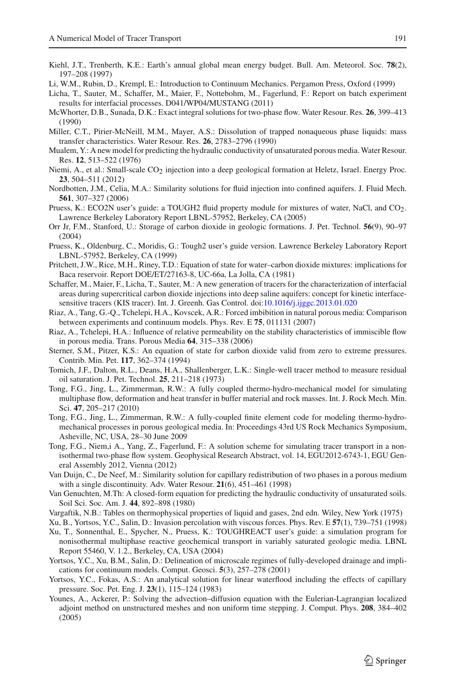- <span id="page-18-1"></span>Kiehl, J.T., Trenberth, K.E.: Earth's annual global mean energy budget. Bull. Am. Meteorol. Soc. **78**(2), 197–208 (1997)
- <span id="page-18-9"></span>Li, W.M., Rubin, D., Krempl, E.: Introduction to Continuum Mechanics. Pergamon Press, Oxford (1999)
- <span id="page-18-6"></span>Licha, T., Sauter, M., Schaffer, M., Maier, F., Nottebohm, M., Fagerlund, F.: Report on batch experiment results for interfacial processes. D041/WP04/MUSTANG (2011)
- <span id="page-18-22"></span>McWhorter, D.B., Sunada, D.K.: Exact integral solutions for two-phase flow. Water Resour. Res. **26**, 399–413 (1990)
- <span id="page-18-16"></span>Miller, C.T., Pirier-McNeill, M.M., Mayer, A.S.: Dissolution of trapped nonaqueous phase liquids: mass transfer characteristics. Water Resour. Res. **26**, 2783–2796 (1990)
- <span id="page-18-11"></span>Mualem, Y.: A new model for predicting the hydraulic conductivity of unsaturated porous media. Water Resour. Res. **12**, 513–522 (1976)
- <span id="page-18-3"></span>Niemi, A., et al.: Small-scale CO<sub>2</sub> injection into a deep geological formation at Heletz, Israel. Energy Proc. **23**, 504–511 (2012)
- <span id="page-18-23"></span>Nordbotten, J.M., Celia, M.A.: Similarity solutions for fluid injection into confined aquifers. J. Fluid Mech. **561**, 307–327 (2006)
- <span id="page-18-8"></span>Pruess, K.: ECO2N user's guide: a TOUGH2 fluid property module for mixtures of water, NaCl, and CO<sub>2</sub>. Lawrence Berkeley Laboratory Report LBNL-57952, Berkeley, CA (2005)
- <span id="page-18-2"></span>Orr Jr, F.M., Stanford, U.: Storage of carbon dioxide in geologic formations. J. Pet. Technol. **56**(9), 90–97 (2004)
- <span id="page-18-7"></span>Pruess, K., Oldenburg, C., Moridis, G.: Tough2 user's guide version. Lawrence Berkeley Laboratory Report LBNL-57952, Berkeley, CA (1999)
- <span id="page-18-14"></span>Pritchett, J.W., Rice, M.H., Riney, T.D.: Equation of state for water–carbon dioxide mixtures: implications for Baca reservoir. Report DOE/ET/27163-8, UC-66a, La Jolla, CA (1981)
- <span id="page-18-5"></span>Schaffer, M., Maier, F., Licha, T., Sauter, M.: A new generation of tracers for the characterization of interfacial areas during supercritical carbon dioxide injections into deep saline aquifers: concept for kinetic interfacesensitive tracers (KIS tracer). Int. J. Greenh. Gas Control. doi[:10.1016/j.ijggc.2013.01.020](http://dx.doi.org/10.1016/j.ijggc.2013.01.020)
- <span id="page-18-25"></span>Riaz, A., Tang, G.-Q., Tchelepi, H.A., Kovscek, A.R.: Forced imbibition in natural porous media: Comparison between experiments and continuum models. Phys. Rev. E **75**, 011131 (2007)
- <span id="page-18-24"></span>Riaz, A., Tchelepi, H.A.: Influence of relative permeability on the stability characteristics of immiscible flow in porous media. Trans. Porous Media **64**, 315–338 (2006)
- <span id="page-18-13"></span>Sterner, S.M., Pitzer, K.S.: An equation of state for carbon dioxide valid from zero to extreme pressures. Contrib. Min. Pet. **117**, 362–374 (1994)
- <span id="page-18-4"></span>Tomich, J.F., Dalton, R.L., Deans, H.A., Shallenberger, L.K.: Single-well tracer method to measure residual oil saturation. J. Pet. Technol. **25**, 211–218 (1973)
- <span id="page-18-10"></span>Tong, F.G., Jing, L., Zimmerman, R.W.: A fully coupled thermo-hydro-mechanical model for simulating multiphase flow, deformation and heat transfer in buffer material and rock masses. Int. J. Rock Mech. Min. Sci. **47**, 205–217 (2010)
- <span id="page-18-19"></span>Tong, F.G., Jing, L., Zimmerman, R.W.: A fully-coupled finite element code for modeling thermo-hydromechanical processes in porous geological media. In: Proceedings 43rd US Rock Mechanics Symposium, Asheville, NC, USA, 28–30 June 2009
- <span id="page-18-18"></span>Tong, F.G., Niem,i A., Yang, Z., Fagerlund, F.: A solution scheme for simulating tracer transport in a nonisothermal two-phase flow system. Geophysical Research Abstract, vol. 14, EGU2012-6743-1, EGU General Assembly 2012, Vienna (2012)
- <span id="page-18-21"></span>Van Duijn, C., De Neef, M.: Similarity solution for capillary redistribution of two phases in a porous medium with a single discontinuity. Adv. Water Resour. **21**(6), 451–461 (1998)
- <span id="page-18-12"></span>Van Genuchten, M.Th: A closed-form equation for predicting the hydraulic conductivity of unsaturated soils. Soil Sci. Soc. Am. J. **44**, 892–898 (1980)
- <span id="page-18-15"></span>Vargaftik, N.B.: Tables on thermophysical properties of liquid and gases, 2nd edn. Wiley, New York (1975)
- <span id="page-18-26"></span>Xu, B., Yortsos, Y.C., Salin, D.: Invasion percolation with viscous forces. Phys. Rev. E **57**(1), 739–751 (1998)
- <span id="page-18-0"></span>Xu, T., Sonnenthal, E., Spycher, N., Pruess, K.: TOUGHREACT user's guide: a simulation program for nonisothermal multiphase reactive geochemical transport in variably saturated geologic media. LBNL Report 55460, V. 1.2., Berkeley, CA, USA (2004)
- <span id="page-18-27"></span>Yortsos, Y.C., Xu, B.M., Salin, D.: Delineation of microscale regimes of fully-developed drainage and implications for continuum models. Comput. Geosci. **5**(3), 257–278 (2001)
- <span id="page-18-20"></span>Yortsos, Y.C., Fokas, A.S.: An analytical solution for linear waterflood including the effects of capillary pressure. Soc. Pet. Eng. J. **23**(1), 115–124 (1983)
- <span id="page-18-17"></span>Younes, A., Ackerer, P.: Solving the advection–diffusion equation with the Eulerian-Lagrangian localized adjoint method on unstructured meshes and non uniform time stepping. J. Comput. Phys. **208**, 384–402 (2005)